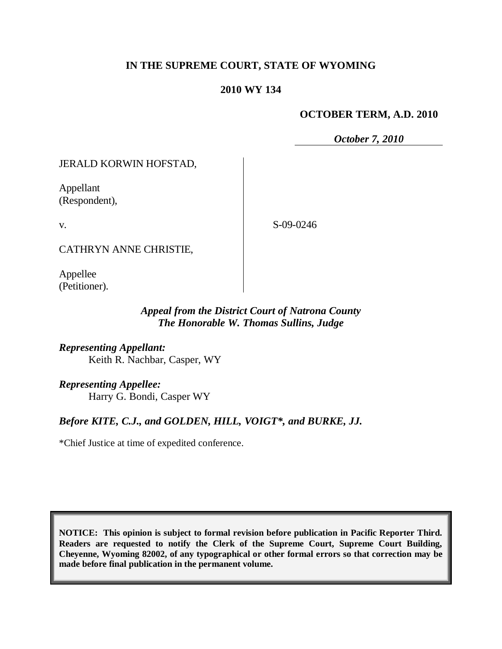## **IN THE SUPREME COURT, STATE OF WYOMING**

## **2010 WY 134**

### **OCTOBER TERM, A.D. 2010**

*October 7, 2010*

JERALD KORWIN HOFSTAD,

Appellant (Respondent),

v.

S-09-0246

CATHRYN ANNE CHRISTIE,

Appellee (Petitioner).

## *Appeal from the District Court of Natrona County The Honorable W. Thomas Sullins, Judge*

*Representing Appellant:* Keith R. Nachbar, Casper, WY

*Representing Appellee:* Harry G. Bondi, Casper WY

# *Before KITE, C.J., and GOLDEN, HILL, VOIGT\*, and BURKE, JJ.*

\*Chief Justice at time of expedited conference.

**NOTICE: This opinion is subject to formal revision before publication in Pacific Reporter Third. Readers are requested to notify the Clerk of the Supreme Court, Supreme Court Building, Cheyenne, Wyoming 82002, of any typographical or other formal errors so that correction may be made before final publication in the permanent volume.**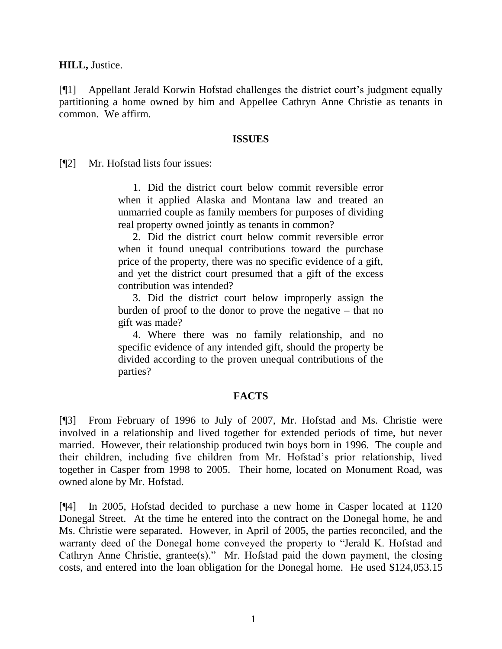**HILL,** Justice.

[¶1] Appellant Jerald Korwin Hofstad challenges the district court's judgment equally partitioning a home owned by him and Appellee Cathryn Anne Christie as tenants in common. We affirm.

#### **ISSUES**

[¶2] Mr. Hofstad lists four issues:

1. Did the district court below commit reversible error when it applied Alaska and Montana law and treated an unmarried couple as family members for purposes of dividing real property owned jointly as tenants in common?

2. Did the district court below commit reversible error when it found unequal contributions toward the purchase price of the property, there was no specific evidence of a gift, and yet the district court presumed that a gift of the excess contribution was intended?

3. Did the district court below improperly assign the burden of proof to the donor to prove the negative – that no gift was made?

4. Where there was no family relationship, and no specific evidence of any intended gift, should the property be divided according to the proven unequal contributions of the parties?

### **FACTS**

[¶3] From February of 1996 to July of 2007, Mr. Hofstad and Ms. Christie were involved in a relationship and lived together for extended periods of time, but never married. However, their relationship produced twin boys born in 1996. The couple and their children, including five children from Mr. Hofstad"s prior relationship, lived together in Casper from 1998 to 2005. Their home, located on Monument Road, was owned alone by Mr. Hofstad.

[¶4] In 2005, Hofstad decided to purchase a new home in Casper located at 1120 Donegal Street. At the time he entered into the contract on the Donegal home, he and Ms. Christie were separated. However, in April of 2005, the parties reconciled, and the warranty deed of the Donegal home conveyed the property to "Jerald K. Hofstad and Cathryn Anne Christie, grantee(s)." Mr. Hofstad paid the down payment, the closing costs, and entered into the loan obligation for the Donegal home. He used \$124,053.15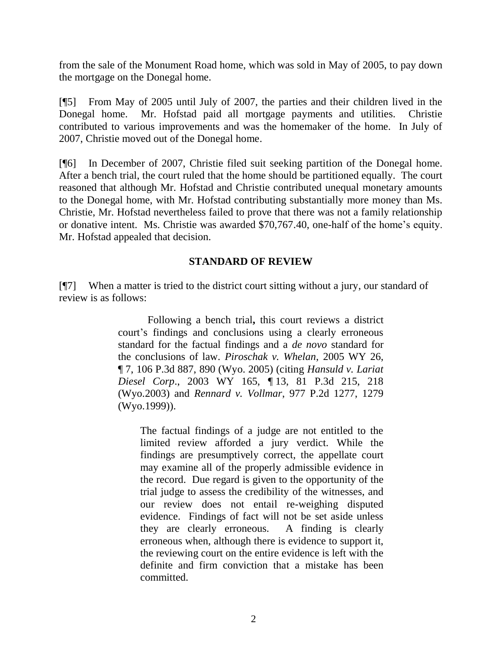from the sale of the Monument Road home, which was sold in May of 2005, to pay down the mortgage on the Donegal home.

[¶5] From May of 2005 until July of 2007, the parties and their children lived in the Donegal home. Mr. Hofstad paid all mortgage payments and utilities. Christie contributed to various improvements and was the homemaker of the home. In July of 2007, Christie moved out of the Donegal home.

[¶6] In December of 2007, Christie filed suit seeking partition of the Donegal home. After a bench trial, the court ruled that the home should be partitioned equally. The court reasoned that although Mr. Hofstad and Christie contributed unequal monetary amounts to the Donegal home, with Mr. Hofstad contributing substantially more money than Ms. Christie, Mr. Hofstad nevertheless failed to prove that there was not a family relationship or donative intent. Ms. Christie was awarded \$70,767.40, one-half of the home"s equity. Mr. Hofstad appealed that decision.

### **STANDARD OF REVIEW**

[¶7] When a matter is tried to the district court sitting without a jury, our standard of review is as follows:

> Following a bench trial**,** this court reviews a district court"s findings and conclusions using a clearly erroneous standard for the factual findings and a *de novo* standard for the conclusions of law. *Piroschak v. Whelan*, 2005 WY 26, ¶ 7, 106 P.3d 887, 890 (Wyo. 2005) (citing *Hansuld v. Lariat Diesel Corp*., 2003 WY 165, ¶ 13, 81 P.3d 215, 218 (Wyo.2003) and *Rennard v. Vollmar*, 977 P.2d 1277, 1279 (Wyo.1999)).

The factual findings of a judge are not entitled to the limited review afforded a jury verdict. While the findings are presumptively correct, the appellate court may examine all of the properly admissible evidence in the record. Due regard is given to the opportunity of the trial judge to assess the credibility of the witnesses, and our review does not entail re-weighing disputed evidence. Findings of fact will not be set aside unless they are clearly erroneous. A finding is clearly erroneous when, although there is evidence to support it, the reviewing court on the entire evidence is left with the definite and firm conviction that a mistake has been committed.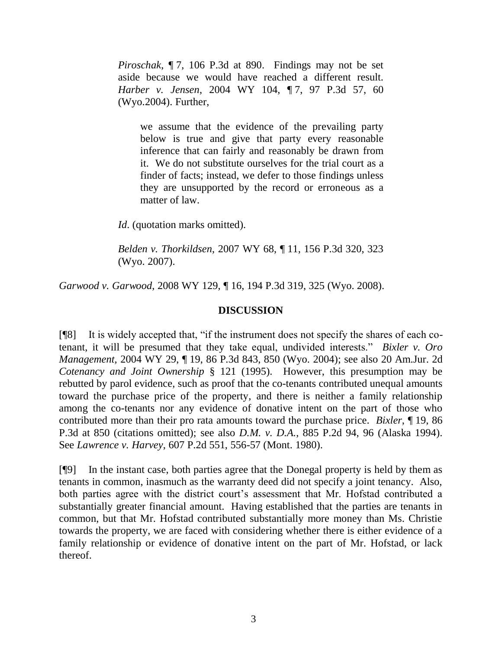*Piroschak*, ¶ 7, 106 P.3d at 890. Findings may not be set aside because we would have reached a different result. *Harber v. Jensen*, 2004 WY 104, ¶ 7, 97 P.3d 57, 60 (Wyo.2004). Further,

we assume that the evidence of the prevailing party below is true and give that party every reasonable inference that can fairly and reasonably be drawn from it. We do not substitute ourselves for the trial court as a finder of facts; instead, we defer to those findings unless they are unsupported by the record or erroneous as a matter of law.

*Id.* (quotation marks omitted).

*Belden v. Thorkildsen*, 2007 WY 68, ¶ 11, 156 P.3d 320, 323 (Wyo. 2007).

*Garwood v. Garwood*, 2008 WY 129, ¶ 16, 194 P.3d 319, 325 (Wyo. 2008).

#### **DISCUSSION**

[¶8] It is widely accepted that, "if the instrument does not specify the shares of each cotenant, it will be presumed that they take equal, undivided interests." *Bixler v. Oro Management,* 2004 WY 29, ¶ 19, 86 P.3d 843, 850 (Wyo. 2004); see also 20 Am.Jur. 2d *Cotenancy and Joint Ownership* § 121 (1995). However, this presumption may be rebutted by parol evidence, such as proof that the co-tenants contributed unequal amounts toward the purchase price of the property, and there is neither a family relationship among the co-tenants nor any evidence of donative intent on the part of those who contributed more than their pro rata amounts toward the purchase price. *Bixler*, ¶ 19, 86 P.3d at 850 (citations omitted); see also *D.M. v. D.A.*, 885 P.2d 94, 96 (Alaska 1994). See *Lawrence v. Harvey*, 607 P.2d 551, 556-57 (Mont. 1980).

[¶9] In the instant case, both parties agree that the Donegal property is held by them as tenants in common, inasmuch as the warranty deed did not specify a joint tenancy. Also, both parties agree with the district court's assessment that Mr. Hofstad contributed a substantially greater financial amount. Having established that the parties are tenants in common, but that Mr. Hofstad contributed substantially more money than Ms. Christie towards the property, we are faced with considering whether there is either evidence of a family relationship or evidence of donative intent on the part of Mr. Hofstad, or lack thereof.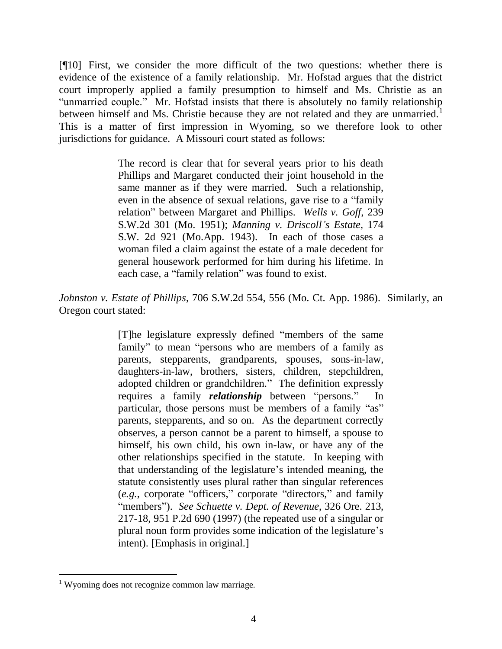[¶10] First, we consider the more difficult of the two questions: whether there is evidence of the existence of a family relationship. Mr. Hofstad argues that the district court improperly applied a family presumption to himself and Ms. Christie as an "unmarried couple." Mr. Hofstad insists that there is absolutely no family relationship between himself and Ms. Christie because they are not related and they are unmarried.<sup>1</sup> This is a matter of first impression in Wyoming, so we therefore look to other jurisdictions for guidance. A Missouri court stated as follows:

> The record is clear that for several years prior to his death Phillips and Margaret conducted their joint household in the same manner as if they were married. Such a relationship, even in the absence of sexual relations, gave rise to a "family relation" between Margaret and Phillips. *Wells v. Goff*, 239 S.W.2d 301 (Mo. 1951); *Manning v. Driscoll's Estate*, 174 S.W. 2d 921 (Mo.App. 1943). In each of those cases a woman filed a claim against the estate of a male decedent for general housework performed for him during his lifetime. In each case, a "family relation" was found to exist.

*Johnston v. Estate of Phillips*, 706 S.W.2d 554, 556 (Mo. Ct. App. 1986). Similarly, an Oregon court stated:

> [T]he legislature expressly defined "members of the same family" to mean "persons who are members of a family as parents, stepparents, grandparents, spouses, sons-in-law, daughters-in-law, brothers, sisters, children, stepchildren, adopted children or grandchildren." The definition expressly requires a family *relationship* between "persons." particular, those persons must be members of a family "as" parents, stepparents, and so on. As the department correctly observes, a person cannot be a parent to himself, a spouse to himself, his own child, his own in-law, or have any of the other relationships specified in the statute. In keeping with that understanding of the legislature"s intended meaning, the statute consistently uses plural rather than singular references (*e.g.*, corporate "officers," corporate "directors," and family "members"). *See Schuette v. Dept. of Revenue*, 326 Ore. 213, 217-18, 951 P.2d 690 (1997) (the repeated use of a singular or plural noun form provides some indication of the legislature"s intent). [Emphasis in original.]

 $\overline{a}$ 

<sup>&</sup>lt;sup> $1$ </sup> Wyoming does not recognize common law marriage.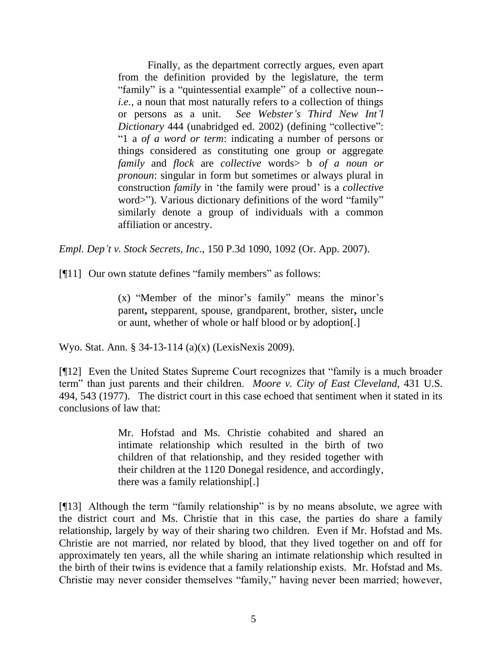Finally, as the department correctly argues, even apart from the definition provided by the legislature, the term "family" is a "quintessential example" of a collective noun- *i.e.*, a noun that most naturally refers to a collection of things or persons as a unit. *See Webster's Third New Int'l Dictionary* 444 (unabridged ed. 2002) (defining "collective": "1 a *of a word or term*: indicating a number of persons or things considered as constituting one group or aggregate *family* and *flock* are *collective* words> b *of a noun or pronoun*: singular in form but sometimes or always plural in construction *family* in "the family were proud" is a *collective*  word>"). Various dictionary definitions of the word "family" similarly denote a group of individuals with a common affiliation or ancestry.

*Empl. Dep't v. Stock Secrets, Inc*., 150 P.3d 1090, 1092 (Or. App. 2007).

[¶11] Our own statute defines "family members" as follows:

 $(x)$  "Member of the minor's family" means the minor's parent**,** stepparent, spouse, grandparent, brother, sister**,** uncle or aunt, whether of whole or half blood or by adoption[.]

Wyo. Stat. Ann. § 34-13-114 (a)(x) (LexisNexis 2009).

[¶12] Even the United States Supreme Court recognizes that "family is a much broader term" than just parents and their children. *Moore v. City of East Cleveland,* 431 U.S. 494, 543 (1977). The district court in this case echoed that sentiment when it stated in its conclusions of law that:

> Mr. Hofstad and Ms. Christie cohabited and shared an intimate relationship which resulted in the birth of two children of that relationship, and they resided together with their children at the 1120 Donegal residence, and accordingly, there was a family relationship[.]

[¶13] Although the term "family relationship" is by no means absolute, we agree with the district court and Ms. Christie that in this case, the parties do share a family relationship, largely by way of their sharing two children. Even if Mr. Hofstad and Ms. Christie are not married, nor related by blood, that they lived together on and off for approximately ten years, all the while sharing an intimate relationship which resulted in the birth of their twins is evidence that a family relationship exists. Mr. Hofstad and Ms. Christie may never consider themselves "family," having never been married; however,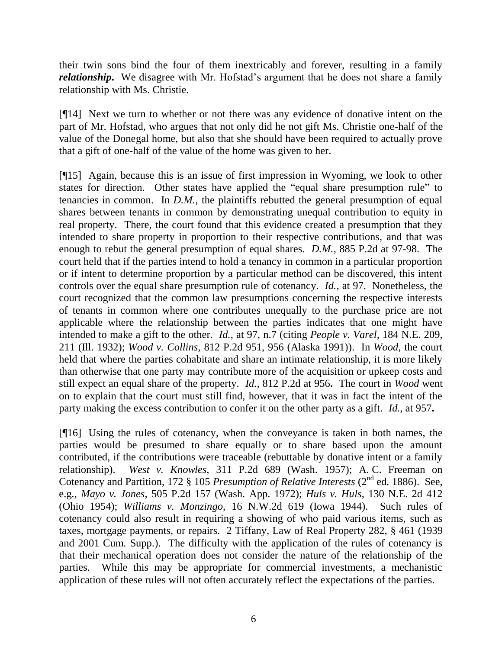their twin sons bind the four of them inextricably and forever, resulting in a family *relationship*. We disagree with Mr. Hofstad's argument that he does not share a family relationship with Ms. Christie.

[¶14] Next we turn to whether or not there was any evidence of donative intent on the part of Mr. Hofstad, who argues that not only did he not gift Ms. Christie one-half of the value of the Donegal home, but also that she should have been required to actually prove that a gift of one-half of the value of the home was given to her.

[¶15] Again, because this is an issue of first impression in Wyoming, we look to other states for direction. Other states have applied the "equal share presumption rule" to tenancies in common. In *D.M.*, the plaintiffs rebutted the general presumption of equal shares between tenants in common by demonstrating unequal contribution to equity in real property. There, the court found that this evidence created a presumption that they intended to share property in proportion to their respective contributions, and that was enough to rebut the general presumption of equal shares. *D.M.*, 885 P.2d at 97-98. The court held that if the parties intend to hold a tenancy in common in a particular proportion or if intent to determine proportion by a particular method can be discovered, this intent controls over the equal share presumption rule of cotenancy. *Id.*, at 97. Nonetheless, the court recognized that the common law presumptions concerning the respective interests of tenants in common where one contributes unequally to the purchase price are not applicable where the relationship between the parties indicates that one might have intended to make a gift to the other. *Id.*, at 97, n.7 (citing *People v. Varel*, 184 N.E. 209, 211 (Ill. 1932); *Wood v. Collins,* 812 P.2d 951, 956 (Alaska 1991)). In *Wood*, the court held that where the parties cohabitate and share an intimate relationship, it is more likely than otherwise that one party may contribute more of the acquisition or upkeep costs and still expect an equal share of the property. *Id.*, 812 P.2d at 956**.** The court in *Wood* went on to explain that the court must still find, however, that it was in fact the intent of the party making the excess contribution to confer it on the other party as a gift. *Id*., at 957**.**

[¶16] Using the rules of cotenancy, when the conveyance is taken in both names, the parties would be presumed to share equally or to share based upon the amount contributed, if the contributions were traceable (rebuttable by donative intent or a family relationship). *West v. Knowles*, 311 P.2d 689 (Wash. 1957); A. C. Freeman on Cotenancy and Partition, 172 § 105 *Presumption of Relative Interests* (2<sup>nd</sup> ed. 1886). See, e.g., *Mayo v. Jones*, 505 P.2d 157 (Wash. App. 1972); *Huls v. Huls*, 130 N.E. 2d 412 (Ohio 1954); *Williams v. Monzingo*, 16 N.W.2d 619 (Iowa 1944). Such rules of cotenancy could also result in requiring a showing of who paid various items, such as taxes, mortgage payments, or repairs. 2 Tiffany, Law of Real Property 282, § 461 (1939 and 2001 Cum. Supp.). The difficulty with the application of the rules of cotenancy is that their mechanical operation does not consider the nature of the relationship of the parties. While this may be appropriate for commercial investments, a mechanistic application of these rules will not often accurately reflect the expectations of the parties.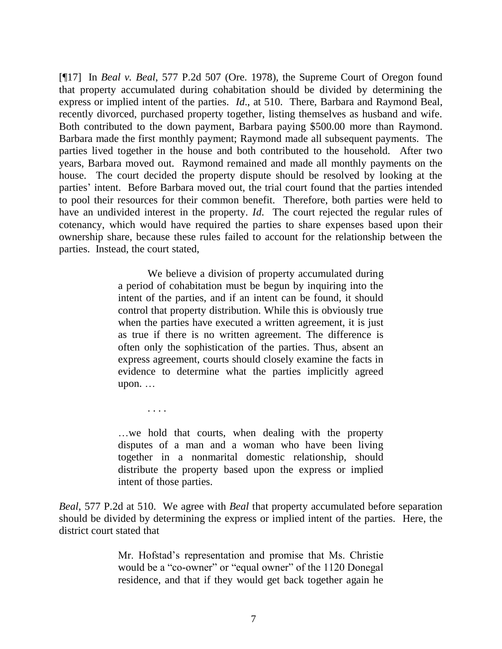[¶17] In *Beal v. Beal*, 577 P.2d 507 (Ore. 1978)*,* the Supreme Court of Oregon found that property accumulated during cohabitation should be divided by determining the express or implied intent of the parties. *Id*., at 510. There, Barbara and Raymond Beal, recently divorced, purchased property together, listing themselves as husband and wife. Both contributed to the down payment, Barbara paying \$500.00 more than Raymond. Barbara made the first monthly payment; Raymond made all subsequent payments. The parties lived together in the house and both contributed to the household. After two years, Barbara moved out. Raymond remained and made all monthly payments on the house. The court decided the property dispute should be resolved by looking at the parties' intent. Before Barbara moved out, the trial court found that the parties intended to pool their resources for their common benefit. Therefore, both parties were held to have an undivided interest in the property. *Id*. The court rejected the regular rules of cotenancy, which would have required the parties to share expenses based upon their ownership share, because these rules failed to account for the relationship between the parties. Instead, the court stated,

> We believe a division of property accumulated during a period of cohabitation must be begun by inquiring into the intent of the parties, and if an intent can be found, it should control that property distribution. While this is obviously true when the parties have executed a written agreement, it is just as true if there is no written agreement. The difference is often only the sophistication of the parties. Thus, absent an express agreement, courts should closely examine the facts in evidence to determine what the parties implicitly agreed upon. …

> …we hold that courts, when dealing with the property disputes of a man and a woman who have been living together in a nonmarital domestic relationship, should distribute the property based upon the express or implied intent of those parties.

. . . .

*Beal*, 577 P.2d at 510. We agree with *Beal* that property accumulated before separation should be divided by determining the express or implied intent of the parties. Here, the district court stated that

> Mr. Hofstad"s representation and promise that Ms. Christie would be a "co-owner" or "equal owner" of the 1120 Donegal residence, and that if they would get back together again he